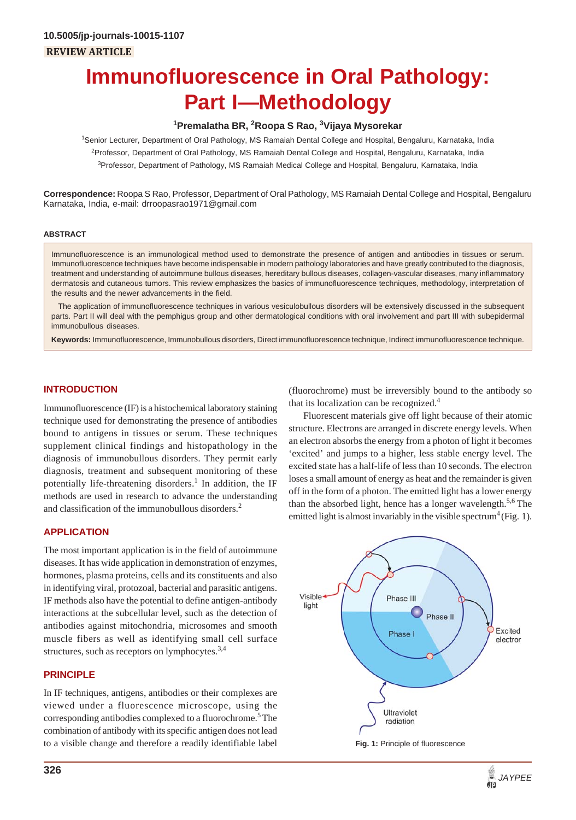# **Immunofluorescence in Oral Pathology: Part I—Methodology**

# **1 Premalatha BR, 2 Roopa S Rao, 3 Vijaya Mysorekar**

1 Senior Lecturer, Department of Oral Pathology, MS Ramaiah Dental College and Hospital, Bengaluru, Karnataka, India <sup>2</sup>Professor, Department of Oral Pathology, MS Ramaiah Dental College and Hospital, Bengaluru, Karnataka, India <sup>3</sup>Professor, Department of Pathology, MS Ramaiah Medical College and Hospital, Bengaluru, Karnataka, India

**Correspondence:** Roopa S Rao, Professor, Department of Oral Pathology, MS Ramaiah Dental College and Hospital, Bengaluru Karnataka, India, e-mail: drroopasrao1971@gmail.com

## **ABSTRACT**

Immunofluorescence is an immunological method used to demonstrate the presence of antigen and antibodies in tissues or serum. Immunofluorescence techniques have become indispensable in modern pathology laboratories and have greatly contributed to the diagnosis, treatment and understanding of autoimmune bullous diseases, hereditary bullous diseases, collagen-vascular diseases, many inflammatory dermatosis and cutaneous tumors. This review emphasizes the basics of immunofluorescence techniques, methodology, interpretation of the results and the newer advancements in the field.

The application of immunofluorescence techniques in various vesiculobullous disorders will be extensively discussed in the subsequent parts. Part II will deal with the pemphigus group and other dermatological conditions with oral involvement and part III with subepidermal immunobullous diseases.

**Keywords:** Immunofluorescence, Immunobullous disorders, Direct immunofluorescence technique, Indirect immunofluorescence technique.

## **INTRODUCTION**

Immunofluorescence (IF) is a histochemical laboratory staining technique used for demonstrating the presence of antibodies bound to antigens in tissues or serum. These techniques supplement clinical findings and histopathology in the diagnosis of immunobullous disorders. They permit early diagnosis, treatment and subsequent monitoring of these potentially life-threatening disorders.<sup>1</sup> In addition, the IF methods are used in research to advance the understanding and classification of the immunobullous disorders.<sup>2</sup>

# **APPLICATION**

The most important application is in the field of autoimmune diseases. It has wide application in demonstration of enzymes, hormones, plasma proteins, cells and its constituents and also in identifying viral, protozoal, bacterial and parasitic antigens. IF methods also have the potential to define antigen-antibody interactions at the subcellular level, such as the detection of antibodies against mitochondria, microsomes and smooth muscle fibers as well as identifying small cell surface structures, such as receptors on lymphocytes.<sup>3,4</sup>

# **PRINCIPLE**

In IF techniques, antigens, antibodies or their complexes are viewed under a fluorescence microscope, using the corresponding antibodies complexed to a fluorochrome.<sup>5</sup> The combination of antibody with its specific antigen does not lead to a visible change and therefore a readily identifiable label

(fluorochrome) must be irreversibly bound to the antibody so that its localization can be recognized.<sup>4</sup>

Fluorescent materials give off light because of their atomic structure. Electrons are arranged in discrete energy levels. When an electron absorbs the energy from a photon of light it becomes 'excited' and jumps to a higher, less stable energy level. The excited state has a half-life of less than 10 seconds. The electron loses a small amount of energy as heat and the remainder is given off in the form of a photon. The emitted light has a lower energy than the absorbed light, hence has a longer wavelength.<sup>5,6</sup> The emitted light is almost invariably in the visible spectrum<sup>4</sup> (Fig. 1).

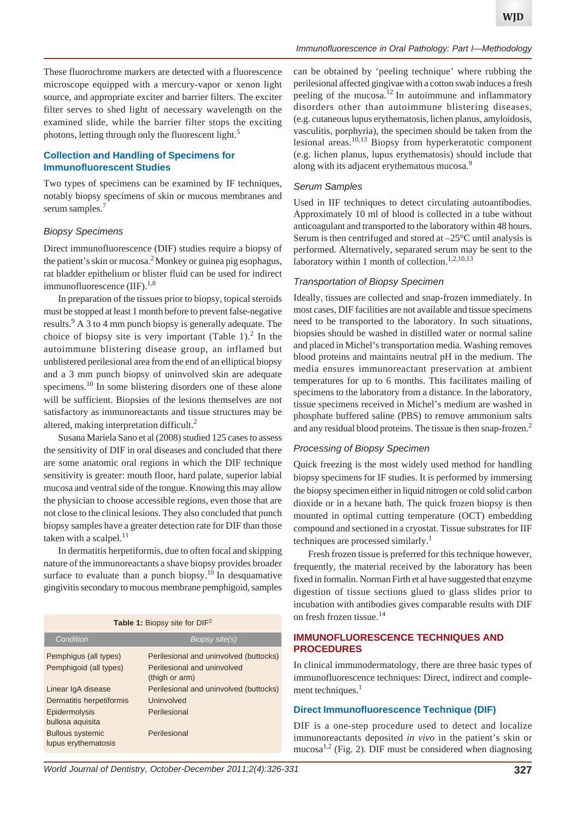These fluorochrome markers are detected with a fluorescence microscope equipped with a mercury-vapor or xenon light source, and appropriate exciter and barrier filters. The exciter filter serves to shed light of necessary wavelength on the examined slide, while the barrier filter stops the exciting photons, letting through only the fluorescent light.<sup>5</sup>

#### **Collection and Handling of Specimens for Immunofluorescent Studies**

Two types of specimens can be examined by IF techniques, notably biopsy specimens of skin or mucous membranes and serum samples.<sup>7</sup>

#### *Biopsy Specimens*

Direct immunofluorescence (DIF) studies require a biopsy of the patient's skin or mucosa.<sup>2</sup> Monkey or guinea pig esophagus, rat bladder epithelium or blister fluid can be used for indirect immunofluorescence  $(IIIF).<sup>1,8</sup>$ 

In preparation of the tissues prior to biopsy, topical steroids must be stopped at least 1 month before to prevent false-negative results.9 A 3 to 4 mm punch biopsy is generally adequate. The choice of biopsy site is very important (Table 1).<sup>2</sup> In the autoimmune blistering disease group, an inflamed but unblistered perilesional area from the end of an elliptical biopsy and a 3 mm punch biopsy of uninvolved skin are adequate specimens.<sup>10</sup> In some blistering disorders one of these alone will be sufficient. Biopsies of the lesions themselves are not satisfactory as immunoreactants and tissue structures may be altered, making interpretation difficult.<sup>2</sup>

Susana Mariela Sano et al (2008) studied 125 cases to assess the sensitivity of DIF in oral diseases and concluded that there are some anatomic oral regions in which the DIF technique sensitivity is greater: mouth floor, hard palate, superior labial mucosa and ventral side of the tongue. Knowing this may allow the physician to choose accessible regions, even those that are not close to the clinical lesions. They also concluded that punch biopsy samples have a greater detection rate for DIF than those taken with a scalpel. $^{11}$ 

In dermatitis herpetiformis*,* due to often focal and skipping nature of the immunoreactants a shave biopsy provides broader surface to evaluate than a punch biopsy.<sup>10</sup> In desquamative gingivitis secondary to mucous membrane pemphigoid, samples

| <b>Table 1:</b> Biopsy site for $DIF2$         |                                               |
|------------------------------------------------|-----------------------------------------------|
| Condition                                      | Biopsy site(s)                                |
| Pemphigus (all types)                          | Perilesional and uninvolved (buttocks)        |
| Pemphigoid (all types)                         | Perilesional and uninvolved<br>(thigh or arm) |
| Linear IgA disease                             | Perilesional and uninvolved (buttocks)        |
| Dermatitis herpetiformis                       | Uninvolved                                    |
| Epidermolysis<br>bullosa aquisita              | Perilesional                                  |
| <b>Bullous systemic</b><br>lupus erythematosis | Perilesional                                  |

*Immunofluorescence in Oral Pathology: Part I—Methodology*

can be obtained by 'peeling technique' where rubbing the perilesional affected gingivae with a cotton swab induces a fresh peeling of the mucosa.<sup>12</sup> In autoimmune and inflammatory disorders other than autoimmune blistering diseases, (e.g. cutaneous lupus erythematosis, lichen planus, amyloidosis, vasculitis, porphyria), the specimen should be taken from the lesional areas.10,13 Biopsy from hyperkeratotic component (e.g. lichen planus, lupus erythematosis) should include that along with its adjacent erythematous mucosa.<sup>9</sup>

## *Serum Samples*

Used in IIF techniques to detect circulating autoantibodies. Approximately 10 ml of blood is collected in a tube without anticoagulant and transported to the laboratory within 48 hours. Serum is then centrifuged and stored at  $-25^{\circ}$ C until analysis is performed. Alternatively, separated serum may be sent to the laboratory within 1 month of collection.<sup>1,2,10,13</sup>

#### *Transportation of Biopsy Specimen*

Ideally, tissues are collected and snap-frozen immediately. In most cases, DIF facilities are not available and tissue specimens need to be transported to the laboratory. In such situations, biopsies should be washed in distilled water or normal saline and placed in Michel's transportation media. Washing removes blood proteins and maintains neutral pH in the medium. The media ensures immunoreactant preservation at ambient temperatures for up to 6 months. This facilitates mailing of specimens to the laboratory from a distance. In the laboratory, tissue specimens received in Michel's medium are washed in phosphate buffered saline (PBS) to remove ammonium salts and any residual blood proteins. The tissue is then snap-frozen.<sup>2</sup>

#### *Processing of Biopsy Specimen*

Quick freezing is the most widely used method for handling biopsy specimens for IF studies. It is performed by immersing the biopsy specimen either in liquid nitrogen or cold solid carbon dioxide or in a hexane bath. The quick frozen biopsy is then mounted in optimal cutting temperature (OCT) embedding compound and sectioned in a cryostat. Tissue substrates for IIF techniques are processed similarly.<sup>1</sup>

Fresh frozen tissue is preferred for this technique however, frequently, the material received by the laboratory has been fixed in formalin. Norman Firth et al have suggested that enzyme digestion of tissue sections glued to glass slides prior to incubation with antibodies gives comparable results with DIF on fresh frozen tissue.<sup>14</sup>

## **IMMUNOFLUORESCENCE TECHNIQUES AND PROCEDURES**

In clinical immunodermatology, there are three basic types of immunofluorescence techniques: Direct, indirect and complement techniques. $<sup>1</sup>$ </sup>

#### **Direct Immunofluorescence Technique (DIF)**

DIF is a one-step procedure used to detect and localize immunoreactants deposited *in vivo* in the patient's skin or mucosa<sup>1,2</sup> (Fig. 2). DIF must be considered when diagnosing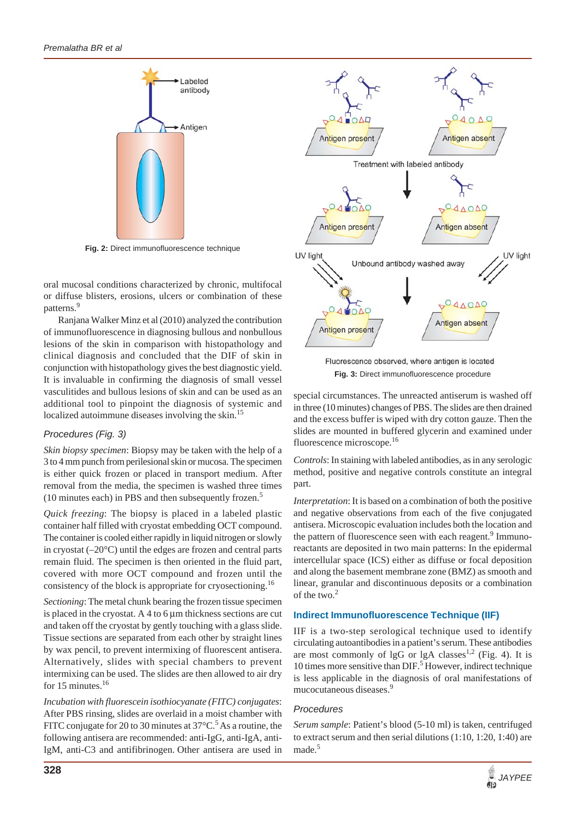

**Fig. 2:** Direct immunofluorescence technique

oral mucosal conditions characterized by chronic, multifocal or diffuse blisters, erosions, ulcers or combination of these patterns.<sup>9</sup>

Ranjana Walker Minz et al (2010) analyzed the contribution of immunofluorescence in diagnosing bullous and nonbullous lesions of the skin in comparison with histopathology and clinical diagnosis and concluded that the DIF of skin in conjunction with histopathology gives the best diagnostic yield. It is invaluable in confirming the diagnosis of small vessel vasculitides and bullous lesions of skin and can be used as an additional tool to pinpoint the diagnosis of systemic and localized autoimmune diseases involving the skin.<sup>15</sup>

# *Procedures (Fig. 3)*

*Skin biopsy specimen*: Biopsy may be taken with the help of a 3 to 4 mm punch from perilesional skin or mucosa. The specimen is either quick frozen or placed in transport medium. After removal from the media, the specimen is washed three times (10 minutes each) in PBS and then subsequently frozen.<sup>5</sup>

*Quick freezing*: The biopsy is placed in a labeled plastic container half filled with cryostat embedding OCT compound. The container is cooled either rapidly in liquid nitrogen or slowly in cryostat  $(-20^{\circ}C)$  until the edges are frozen and central parts remain fluid. The specimen is then oriented in the fluid part, covered with more OCT compound and frozen until the consistency of the block is appropriate for cryosectioning.<sup>16</sup>

*Sectioning*: The metal chunk bearing the frozen tissue specimen is placed in the cryostat. A 4 to 6  $\mu$ m thickness sections are cut and taken off the cryostat by gently touching with a glass slide. Tissue sections are separated from each other by straight lines by wax pencil, to prevent intermixing of fluorescent antisera. Alternatively, slides with special chambers to prevent intermixing can be used. The slides are then allowed to air dry for 15 minutes.<sup>16</sup>

*Incubation with fluorescein isothiocyanate (FITC) conjugates*: After PBS rinsing, slides are overlaid in a moist chamber with FITC conjugate for 20 to 30 minutes at  $37^{\circ}$ C.<sup>5</sup> As a routine, the following antisera are recommended: anti-IgG, anti-IgA, anti-IgM, anti-C3 and antifibrinogen. Other antisera are used in



Fluorescence observed, where antigen is located **Fig. 3:** Direct immunofluorescence procedure

special circumstances. The unreacted antiserum is washed off in three (10 minutes) changes of PBS. The slides are then drained and the excess buffer is wiped with dry cotton gauze. Then the slides are mounted in buffered glycerin and examined under fluorescence microscope.<sup>16</sup>

*Controls*: In staining with labeled antibodies, as in any serologic method, positive and negative controls constitute an integral part.

*Interpretation*: It is based on a combination of both the positive and negative observations from each of the five conjugated antisera. Microscopic evaluation includes both the location and the pattern of fluorescence seen with each reagent.<sup>9</sup> Immunoreactants are deposited in two main patterns: In the epidermal intercellular space (ICS) either as diffuse or focal deposition and along the basement membrane zone (BMZ) as smooth and linear, granular and discontinuous deposits or a combination of the two.<sup>2</sup>

# **Indirect Immunofluorescence Technique (IIF)**

IIF is a two-step serological technique used to identify circulating autoantibodies in a patient's serum. These antibodies are most commonly of lgG or lgA classes<sup>1,2</sup> (Fig. 4). It is 10 times more sensitive than DIF.<sup>5</sup> However, indirect technique is less applicable in the diagnosis of oral manifestations of mucocutaneous diseases.9

# *Procedures*

*Serum sample*: Patient's blood (5-10 ml) is taken, centrifuged to extract serum and then serial dilutions (1:10, 1:20, 1:40) are made.<sup>5</sup>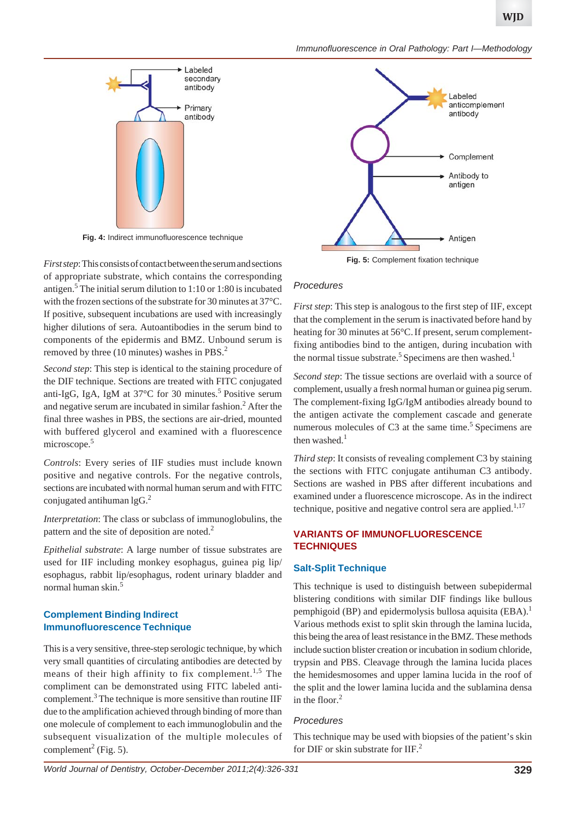*Immunofluorescence in Oral Pathology: Part I—Methodology*



**Fig. 4:** Indirect immunofluorescence technique

*First step*: This consists of contact between the serum and sections of appropriate substrate, which contains the corresponding antigen.<sup>5</sup> The initial serum dilution to 1:10 or 1:80 is incubated with the frozen sections of the substrate for 30 minutes at 37°C. If positive, subsequent incubations are used with increasingly higher dilutions of sera. Autoantibodies in the serum bind to components of the epidermis and BMZ. Unbound serum is removed by three (10 minutes) washes in PBS.<sup>2</sup>

*Second step*: This step is identical to the staining procedure of the DIF technique. Sections are treated with FITC conjugated anti-IgG, IgA, IgM at  $37^{\circ}$ C for 30 minutes.<sup>5</sup> Positive serum and negative serum are incubated in similar fashion.<sup>2</sup> After the final three washes in PBS, the sections are air-dried, mounted with buffered glycerol and examined with a fluorescence microscope.<sup>5</sup>

*Controls*: Every series of IIF studies must include known positive and negative controls. For the negative controls, sections are incubated with normal human serum and with FITC conjugated antihuman  $lgG<sup>2</sup>$ 

*Interpretation*: The class or subclass of immunoglobulins, the pattern and the site of deposition are noted.<sup>2</sup>

*Epithelial substrate*: A large number of tissue substrates are used for IIF including monkey esophagus, guinea pig lip/ esophagus, rabbit lip/esophagus, rodent urinary bladder and normal human skin.<sup>5</sup>

# **Complement Binding Indirect Immunofluorescence Technique**

This is a very sensitive, three-step serologic technique, by which very small quantities of circulating antibodies are detected by means of their high affinity to fix complement.<sup>1,5</sup> The compliment can be demonstrated using FITC labeled anticomplement.<sup>3</sup> The technique is more sensitive than routine IIF due to the amplification achieved through binding of more than one molecule of complement to each immunoglobulin and the subsequent visualization of the multiple molecules of complement<sup>2</sup> (Fig. 5).



**Fig. 5:** Complement fixation technique

#### *Procedures*

*First step*: This step is analogous to the first step of IIF, except that the complement in the serum is inactivated before hand by heating for 30 minutes at 56°C.If present, serum complementfixing antibodies bind to the antigen, during incubation with the normal tissue substrate.<sup>5</sup> Specimens are then washed.<sup>1</sup>

*Second step*: The tissue sections are overlaid with a source of complement, usually a fresh normal human or guinea pig serum. The complement-fixing IgG/IgM antibodies already bound to the antigen activate the complement cascade and generate numerous molecules of  $C3$  at the same time.<sup>5</sup> Specimens are then washed. $<sup>1</sup>$ </sup>

*Third step*: It consists of revealing complement C3 by staining the sections with FITC conjugate antihuman C3 antibody. Sections are washed in PBS after different incubations and examined under a fluorescence microscope. As in the indirect technique, positive and negative control sera are applied. $1,17$ 

# **VARIANTS OF IMMUNOFLUORESCENCE TECHNIQUES**

## **Salt-Split Technique**

This technique is used to distinguish between subepidermal blistering conditions with similar DIF findings like bullous pemphigoid (BP) and epidermolysis bullosa aquisita  $(EBA)^{1}$ . Various methods exist to split skin through the lamina lucida, this being the area of least resistance in the BMZ. These methods include suction blister creation or incubation in sodium chloride, trypsin and PBS. Cleavage through the lamina lucida places the hemidesmosomes and upper lamina lucida in the roof of the split and the lower lamina lucida and the sublamina densa in the floor. $2$ 

## *Procedures*

This technique may be used with biopsies of the patient's skin for DIF or skin substrate for  $IIF<sup>2</sup>$ .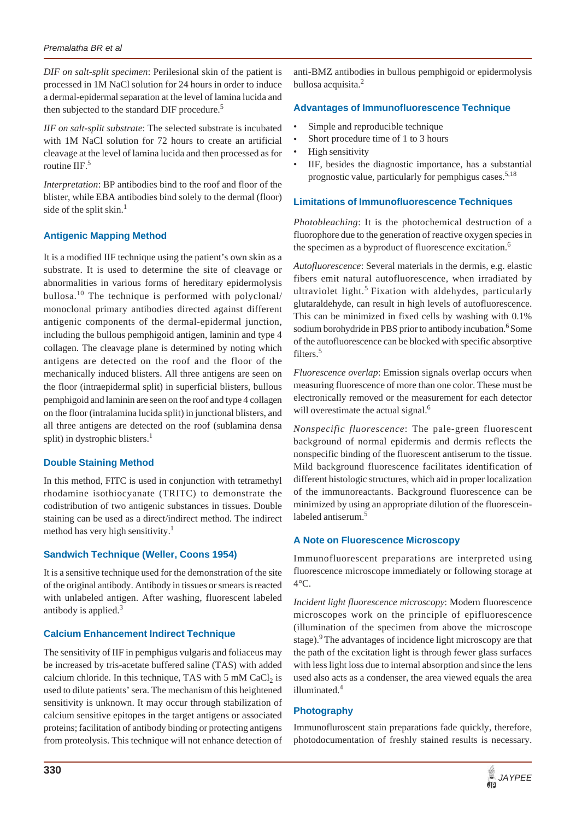*DIF on salt-split specimen*: Perilesional skin of the patient is processed in 1M NaCl solution for 24 hours in order to induce a dermal-epidermal separation at the level of lamina lucida and then subjected to the standard DIF procedure.<sup>5</sup>

*IIF on salt-split substrate*: The selected substrate is incubated with 1M NaCl solution for 72 hours to create an artificial cleavage at the level of lamina lucida and then processed as for routine IIF.<sup>5</sup>

*Interpretation*: BP antibodies bind to the roof and floor of the blister, while EBA antibodies bind solely to the dermal (floor) side of the split skin. $<sup>1</sup>$ </sup>

# **Antigenic Mapping Method**

It is a modified IIF technique using the patient's own skin as a substrate. It is used to determine the site of cleavage or abnormalities in various forms of hereditary epidermolysis bullosa.<sup>10</sup> The technique is performed with polyclonal/ monoclonal primary antibodies directed against different antigenic components of the dermal-epidermal junction, including the bullous pemphigoid antigen, laminin and type 4 collagen. The cleavage plane is determined by noting which antigens are detected on the roof and the floor of the mechanically induced blisters. All three antigens are seen on the floor (intraepidermal split) in superficial blisters, bullous pemphigoid and laminin are seen on the roof and type 4 collagen on the floor (intralamina lucida split) in junctional blisters, and all three antigens are detected on the roof (sublamina densa split) in dystrophic blisters.<sup>1</sup>

# **Double Staining Method**

In this method, FITC is used in conjunction with tetramethyl rhodamine isothiocyanate (TRITC) to demonstrate the codistribution of two antigenic substances in tissues. Double staining can be used as a direct/indirect method. The indirect method has very high sensitivity.<sup>1</sup>

# **Sandwich Technique (Weller, Coons 1954)**

It is a sensitive technique used for the demonstration of the site of the original antibody. Antibody in tissues or smears is reacted with unlabeled antigen. After washing, fluorescent labeled antibody is applied. $3$ 

# **Calcium Enhancement Indirect Technique**

The sensitivity of IIF in pemphigus vulgaris and foliaceus may be increased by tris-acetate buffered saline (TAS) with added calcium chloride. In this technique, TAS with  $5 \text{ mM } \text{CaCl}_2$  is used to dilute patients' sera. The mechanism of this heightened sensitivity is unknown. It may occur through stabilization of calcium sensitive epitopes in the target antigens or associated proteins; facilitation of antibody binding or protecting antigens from proteolysis. This technique will not enhance detection of

anti-BMZ antibodies in bullous pemphigoid or epidermolysis bullosa acquisita.<sup>2</sup>

## **Advantages of Immunofluorescence Technique**

- Simple and reproducible technique
- Short procedure time of 1 to 3 hours
- High sensitivity
- IIF, besides the diagnostic importance, has a substantial prognostic value, particularly for pemphigus cases.<sup>5,18</sup>

## **Limitations of Immunofluorescence Techniques**

*Photobleaching*: It is the photochemical destruction of a fluorophore due to the generation of reactive oxygen species in the specimen as a byproduct of fluorescence excitation.<sup>6</sup>

*Autofluorescence*: Several materials in the dermis, e.g. elastic fibers emit natural autofluorescence, when irradiated by ultraviolet light.<sup>5</sup> Fixation with aldehydes, particularly glutaraldehyde, can result in high levels of autofluorescence. This can be minimized in fixed cells by washing with 0.1% sodium borohydride in PBS prior to antibody incubation.<sup>6</sup> Some of the autofluorescence can be blocked with specific absorptive filters.<sup>5</sup>

*Fluorescence overlap*: Emission signals overlap occurs when measuring fluorescence of more than one color. These must be electronically removed or the measurement for each detector will overestimate the actual signal.<sup>6</sup>

*Nonspecific fluorescence*: The pale-green fluorescent background of normal epidermis and dermis reflects the nonspecific binding of the fluorescent antiserum to the tissue. Mild background fluorescence facilitates identification of different histologic structures, which aid in proper localization of the immunoreactants. Background fluorescence can be minimized by using an appropriate dilution of the fluoresceinlabeled antiserum.<sup>5</sup>

# **A Note on Fluorescence Microscopy**

Immunofluorescent preparations are interpreted using fluorescence microscope immediately or following storage at 4°C.

*Incident light fluorescence microscopy*: Modern fluorescence microscopes work on the principle of epifluorescence (illumination of the specimen from above the microscope stage).<sup>9</sup> The advantages of incidence light microscopy are that the path of the excitation light is through fewer glass surfaces with less light loss due to internal absorption and since the lens used also acts as a condenser, the area viewed equals the area illuminated.<sup>4</sup>

## **Photography**

Immunofluroscent stain preparations fade quickly, therefore, photodocumentation of freshly stained results is necessary.